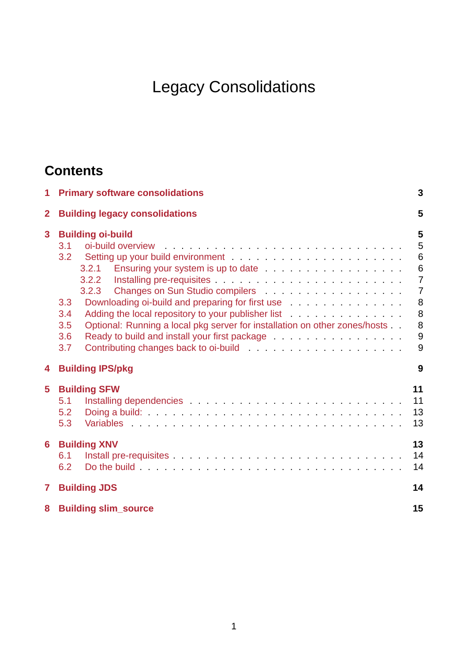# Legacy Consolidations

## <span id="page-0-0"></span>**Contents**

| 1              | <b>Primary software consolidations</b>                                                                                                                                                                                                                                                                                                                                                |                                                                                             |  |  |  |  |
|----------------|---------------------------------------------------------------------------------------------------------------------------------------------------------------------------------------------------------------------------------------------------------------------------------------------------------------------------------------------------------------------------------------|---------------------------------------------------------------------------------------------|--|--|--|--|
| $\overline{2}$ | <b>Building legacy consolidations</b>                                                                                                                                                                                                                                                                                                                                                 |                                                                                             |  |  |  |  |
| 3              | <b>Building oi-build</b><br>3.1<br>3.2.1<br>3.2.3<br>Downloading oi-build and preparing for first use<br>3.3<br>Adding the local repository to your publisher list<br>3.4<br>Optional: Running a local pkg server for installation on other zones/hosts<br>3.5<br>Ready to build and install your first package entitled and service and the Ready to build and install<br>3.6<br>3.7 | 5<br>5<br>6<br>$6\phantom{1}6$<br>$\overline{7}$<br>$\overline{7}$<br>8<br>8<br>8<br>9<br>9 |  |  |  |  |
| 4              | <b>Building IPS/pkg</b><br>9                                                                                                                                                                                                                                                                                                                                                          |                                                                                             |  |  |  |  |
| 5              | <b>Building SFW</b><br>5.1<br>5.2<br>5.3                                                                                                                                                                                                                                                                                                                                              | 11<br>11<br>13<br>13                                                                        |  |  |  |  |
| 6              | <b>Building XNV</b><br>6.1<br>6.2                                                                                                                                                                                                                                                                                                                                                     | 13<br>14<br>14                                                                              |  |  |  |  |
| $\mathbf{7}$   | <b>Building JDS</b>                                                                                                                                                                                                                                                                                                                                                                   |                                                                                             |  |  |  |  |
| 8              | <b>Building slim source</b>                                                                                                                                                                                                                                                                                                                                                           |                                                                                             |  |  |  |  |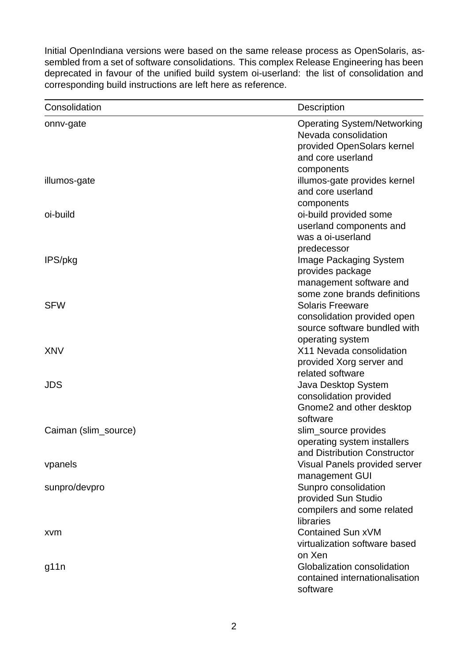Initial OpenIndiana versions were based on the same release process as OpenSolaris, assembled from a set of software consolidations. This complex Release Engineering has been deprecated in favour of the unified build system oi-userland: the list of consolidation and corresponding build instructions are left here as reference.

| Consolidation        | Description                                                                                                   |
|----------------------|---------------------------------------------------------------------------------------------------------------|
| onny-gate            | <b>Operating System/Networking</b><br>Nevada consolidation<br>provided OpenSolars kernel<br>and core userland |
| illumos-gate         | components<br>illumos-gate provides kernel<br>and core userland                                               |
| oi-build             | components<br>oi-build provided some<br>userland components and<br>was a oi-userland<br>predecessor           |
| IPS/pkg              | Image Packaging System<br>provides package<br>management software and<br>some zone brands definitions         |
| <b>SFW</b>           | <b>Solaris Freeware</b><br>consolidation provided open<br>source software bundled with<br>operating system    |
| <b>XNV</b>           | X11 Nevada consolidation<br>provided Xorg server and<br>related software                                      |
| <b>JDS</b>           | Java Desktop System<br>consolidation provided<br>Gnome2 and other desktop<br>software                         |
| Caiman (slim source) | slim source provides<br>operating system installers<br>and Distribution Constructor                           |
| vpanels              | Visual Panels provided server<br>management GUI                                                               |
| sunpro/devpro        | Sunpro consolidation<br>provided Sun Studio<br>compilers and some related<br>libraries                        |
| xvm                  | <b>Contained Sun xVM</b><br>virtualization software based<br>on Xen                                           |
| g11n                 | Globalization consolidation<br>contained internationalisation<br>software                                     |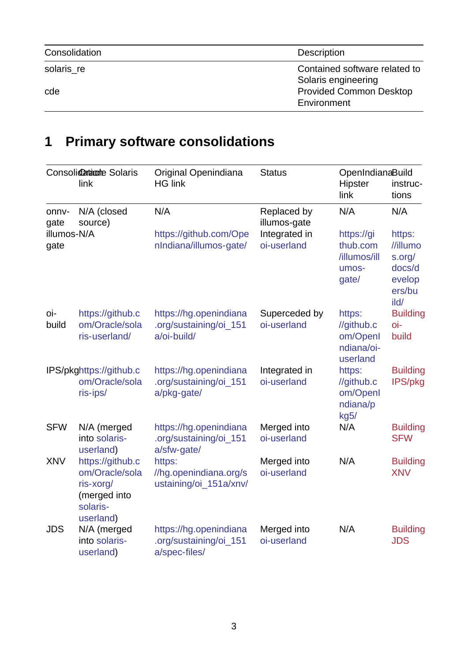| Consolidation | <b>Description</b>             |
|---------------|--------------------------------|
| solaris re    | Contained software related to  |
|               | Solaris engineering            |
| cde           | <b>Provided Common Desktop</b> |
|               | Environment                    |

## **1 Primary software consolidations**

<span id="page-2-0"></span>

| Consolidatione Solaris<br>link |                                                                                          | Original Openindiana<br><b>HG link</b>                            | <b>Status</b>                | OpenIndianaBuild<br>Hipster<br>instruc-<br>link<br>tions   |                                                                    |
|--------------------------------|------------------------------------------------------------------------------------------|-------------------------------------------------------------------|------------------------------|------------------------------------------------------------|--------------------------------------------------------------------|
| onnv-<br>gate                  | N/A (closed<br>source)                                                                   | N/A                                                               | Replaced by<br>illumos-gate  | N/A                                                        | N/A                                                                |
| illumos-N/A<br>gate            |                                                                                          | https://github.com/Ope<br>nIndiana/illumos-gate/                  | Integrated in<br>oi-userland | https://gi<br>thub.com<br>/illumos/ill<br>umos-<br>gate/   | https:<br>//illumo<br>s.org/<br>docs/d<br>evelop<br>ers/bu<br>ild/ |
| oi-<br>build                   | https://github.c<br>om/Oracle/sola<br>ris-userland/                                      | https://hg.openindiana<br>.org/sustaining/oi 151<br>a/oi-build/   | Superceded by<br>oi-userland | https:<br>//github.c<br>om/OpenI<br>ndiana/oi-<br>userland | <b>Building</b><br>oi-<br>build                                    |
|                                | IPS/pkghttps://github.c<br>om/Oracle/sola<br>ris-ips/                                    | https://hg.openindiana<br>.org/sustaining/oi 151<br>a/pkg-gate/   | Integrated in<br>oi-userland | https:<br>//github.c<br>om/OpenI<br>ndiana/p<br>kg5/       | <b>Building</b><br>IPS/pkg                                         |
| <b>SFW</b>                     | N/A (merged<br>into solaris-<br>userland)                                                | https://hg.openindiana<br>.org/sustaining/oi 151<br>a/sfw-gate/   | Merged into<br>oi-userland   | N/A                                                        | <b>Building</b><br><b>SFW</b>                                      |
| <b>XNV</b>                     | https://github.c<br>om/Oracle/sola<br>ris-xorg/<br>(merged into<br>solaris-<br>userland) | https:<br>//hg.openindiana.org/s<br>ustaining/oi_151a/xnv/        | Merged into<br>oi-userland   | N/A                                                        | <b>Building</b><br><b>XNV</b>                                      |
| <b>JDS</b>                     | N/A (merged<br>into solaris-<br>userland)                                                | https://hg.openindiana<br>.org/sustaining/oi 151<br>a/spec-files/ | Merged into<br>oi-userland   | N/A                                                        | <b>Building</b><br><b>JDS</b>                                      |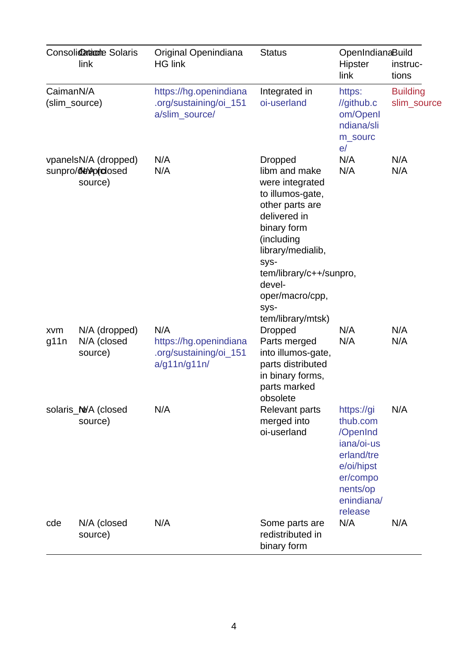|                                                      | Consolidatione Solaris<br>link          | Original Openindiana<br><b>HG link</b>                                  | <b>Status</b>                                                                                                                                                                                                                                            | OpenIndianaBuild<br>Hipster<br>link                                                                                           | instruc-<br>tions              |
|------------------------------------------------------|-----------------------------------------|-------------------------------------------------------------------------|----------------------------------------------------------------------------------------------------------------------------------------------------------------------------------------------------------------------------------------------------------|-------------------------------------------------------------------------------------------------------------------------------|--------------------------------|
| CaimanN/A<br>(slim_source)                           |                                         | https://hg.openindiana<br>.org/sustaining/oi 151<br>a/slim_source/      | Integrated in<br>oi-userland                                                                                                                                                                                                                             | https:<br>//github.c<br>om/OpenI<br>ndiana/sli<br>m sourc<br>e/                                                               | <b>Building</b><br>slim source |
| vpanelsN/A (dropped)<br>sunpro/ddwprdosed<br>source) |                                         | N/A<br>N/A                                                              | <b>Dropped</b><br>libm and make<br>were integrated<br>to illumos-gate,<br>other parts are<br>delivered in<br>binary form<br>(including<br>library/medialib,<br>SyS-<br>tem/library/c++/sunpro,<br>devel-<br>oper/macro/cpp,<br>SyS-<br>tem/library/mtsk) | N/A<br>N/A                                                                                                                    | N/A<br>N/A                     |
| xvm<br>g11n                                          | N/A (dropped)<br>N/A (closed<br>source) | N/A<br>https://hg.openindiana<br>.org/sustaining/oi_151<br>a/g11n/g11n/ | <b>Dropped</b><br>Parts merged<br>into illumos-gate,<br>parts distributed<br>in binary forms,<br>parts marked<br>obsolete                                                                                                                                | N/A<br>N/A                                                                                                                    | N/A<br>N/A                     |
|                                                      | solaris Ne/A (closed<br>source)         | N/A                                                                     | Relevant parts<br>merged into<br>oi-userland                                                                                                                                                                                                             | https://gi<br>thub.com<br>/OpenInd<br>iana/oi-us<br>erland/tre<br>e/oi/hipst<br>er/compo<br>nents/op<br>enindiana/<br>release | N/A                            |
| cde                                                  | N/A (closed<br>source)                  | N/A                                                                     | Some parts are<br>redistributed in<br>binary form                                                                                                                                                                                                        | N/A                                                                                                                           | N/A                            |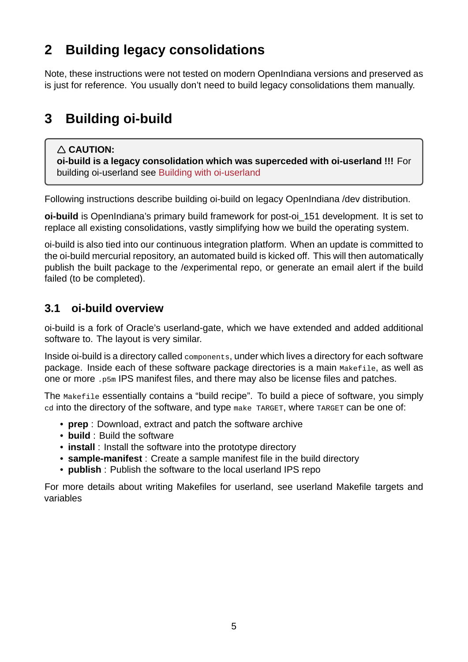## **2 Building legacy consolidations**

<span id="page-4-0"></span>Note, these instructions were not tested on modern OpenIndiana versions and preserved as is just for reference. You usually don't need to build legacy consolidations them manually.

## **3** Building oi-build

### <span id="page-4-3"></span><span id="page-4-1"></span>**CAUTION:**

**oi-build is a legacy consolidation which was superceded with oi-userland !!!** For building oi-userland see Building with oi-userland

Following instructions describe building oi-build on legacy OpenIndiana /dev distribution.

**oi-build** is OpenIndiana's [primary build framework fo](#page-0-0)r post-oi 151 development. It is set to replace all existing consolidations, vastly simplifying how we build the operating system.

oi-build is also tied into our continuous integration platform. When an update is committed to the oi-build mercurial repository, an automated build is kicked off. This will then automatically publish the built package to the /experimental repo, or generate an email alert if the build failed (to be completed).

## **3.1 oi-build overview**

<span id="page-4-2"></span>oi-build is a fork of Oracle's userland-gate, which we have extended and added additional software to. The layout is very similar.

Inside oi-build is a directory called components, under which lives a directory for each software package. Inside each of these software package directories is a main Makefile, as well as one or more .p5m IPS manifest files, and there may also be license files and patches.

The Makefile essentially contains a "build recipe". To build a piece of software, you simply cd into the directory of the software, and type make TARGET, where TARGET can be one of:

- **prep** : Download, extract and patch the software archive
- **build** : Build the software
- **install** : Install the software into the prototype directory
- **samplemanifest** : Create a sample manifest file in the build directory
- **publish** : Publish the software to the local userland IPS repo

For more details about writing Makefiles for userland, see userland Makefile targets and variables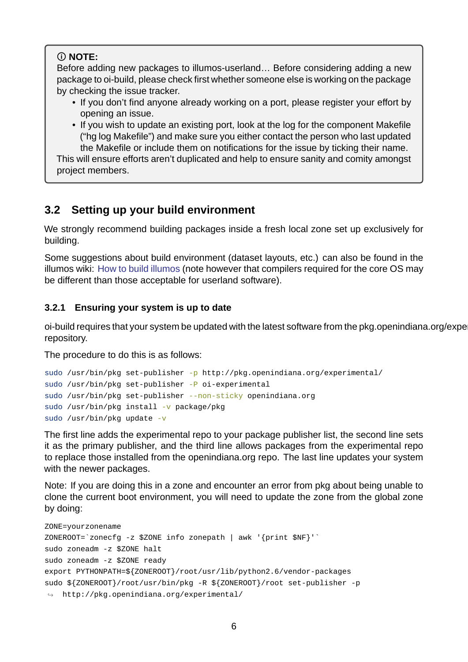### **NOTE:**

Before adding new packages to illumos-userland... Before considering adding a new package to oi-build, please check first whether someone else is working on the package by checking the issue tracker.

• If you don't find anyone already working on a port, please register your effort by opening an issue.

• If you wish to update an existing port, look at the log for the component Makefile ("hg log Makefile") and make sure you either contact the person who last updated the Makefile or include them on notifications for the issue by ticking their name. This will ensure efforts aren't duplicated and help to ensure sanity and comity amongst project members.

### **3.2 Setting up your build environment**

<span id="page-5-0"></span>We strongly recommend building packages inside a fresh local zone set up exclusively for building.

Some suggestions about build environment (dataset layouts, etc.) can also be found in the illumos wiki: How to build illumos (note however that compilers required for the core OS may be different than those acceptable for userland software).

### **3.2.1 Ens[uring your system is](https://illumos.org/docs/developers/build/) up to date**

<span id="page-5-1"></span>oi-build requires that your system be updated with the latest software from the pkg.openindiana.org/experim repository.

The procedure to do this is as follows:

```
sudo /usr/bin/pkg set-publisher -p http://pkg.openindiana.org/experimental/
sudo /usr/bin/pkg set-publisher -P oi-experimental
sudo /usr/bin/pkg set-publisher --non-sticky openindiana.org
sudo /usr/bin/pkg install -v package/pkg
sudo /usr/bin/pkg update -v
```
The first line adds the experimental repo to your package publisher list, the second line sets it as the primary publisher, and the third line allows packages from the experimental repo to replace those installed from the openindiana.org repo. The last line updates your system with the newer packages.

Note: If you are doing this in a zone and encounter an error from pkg about being unable to clone the current boot environment, you will need to update the zone from the global zone by doing:

```
ZONE=yourzonename
ZONEROOT='zonecfg -z $ZONE info zonepath | awk 'forint $NF'sudo zoneadm -z $ZONE halt
sudo zoneadm -z $ZONE ready
export PYTHONPATH=${ZONEROOT}/root/usr/lib/python2.6/vendor-packages
sudo ${ZONEROOT}/root/usr/bin/pkg -R ${ZONEROOT}/root set-publisher -p
\rightarrow http://pkg.openindiana.org/experimental/
```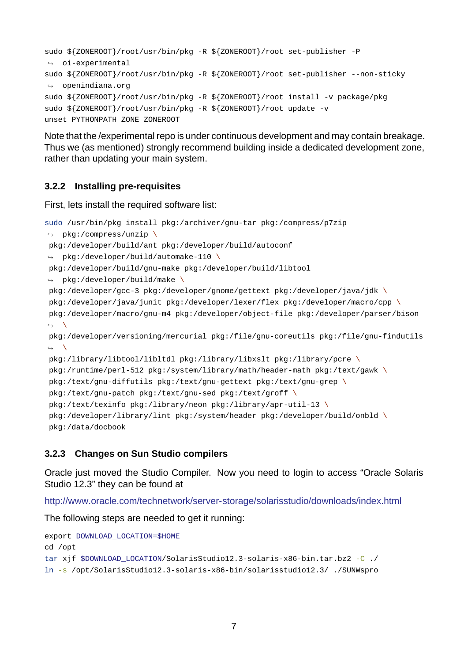```
sudo ${ZONEROOT}/root/usr/bin/pkg -R ${ZONEROOT}/root set-publisher -P
\leftrightarrow oi-experimental
sudo ${ZONEROOT}/root/usr/bin/pkg -R ${ZONEROOT}/root set-publisher --non-sticky
\leftrightarrow openindiana.org
sudo ${ZONEROOT}/root/usr/bin/pkg -R ${ZONEROOT}/root install -v package/pkg
sudo ${ZONEROOT}/root/usr/bin/pkg -R ${ZONEROOT}/root update -v
unset PYTHONPATH ZONE ZONEROOT
```
Note that the /experimental repo is under continuous development and may contain breakage. Thus we (as mentioned) strongly recommend building inside a dedicated development zone, rather than updating your main system.

### **3.2.2 Installing pre-requisites**

First, lets install the required software list:

```
sudo /usr/bin/pkg install pkg:/archiver/gnu-tar pkg:/compress/p7zip
\leftrightarrow pkg:/compress/unzip \
pkg:/developer/build/ant pkg:/developer/build/autoconf
\rightarrow pkg:/developer/build/automake-110 \
pkg:/developer/build/gnu-make pkg:/developer/build/libtool
\rightarrow pkg:/developer/build/make \
pkg:/developer/gcc3 pkg:/developer/gnome/gettext pkg:/developer/java/jdk \
pkg:/developer/java/junit pkg:/developer/lexer/flex pkg:/developer/macro/cpp \
pkg:/developer/macro/gnu-m4 pkg:/developer/object-file pkg:/developer/parser/bison
ightharpoonup \
pkg:/developer/versioning/mercurial pkg:/file/gnu-coreutils pkg:/file/gnu-findutils
\leftrightarrowpkg:/library/libtool/libltdl pkg:/library/libxslt pkg:/library/pcre \
pkg:/runtime/perl-512 pkg:/system/library/math/header-math pkg:/text/gawk \
pkg: /text/gnu-diffutils pkg: /text/gnu-qettext pkg: /text/gnu-qrep \ipkg:/text/gnu-patch pkg:/text/gnu-sed pkg:/text/groff \
 pkg:/text/texinfo pkg:/library/neon pkg:/library/apr-util-13 \
pkg:/developer/library/lint pkg:/system/header pkg:/developer/build/onbld \
 pkg:/data/docbook
```
### **3.2.3 Changes on Sun Studio compilers**

Oracle just moved the Studio Compiler. Now you need to login to access "Oracle Solaris Studio 12.3" they can be found at

<span id="page-6-1"></span>http://www.oracle.com/technetwork/serverstorage/solarisstudio/downloads/index.html

The following steps are needed to get it running:

```
export DOWNLOAD_LOCATION=$HOME
cd /opt
tar xjf $DOWNLOAD_LOCATION/SolarisStudio12.3-solaris-x86-bin.tar.bz2 -C ./
ln -s /opt/SolarisStudio12.3-solaris-x86-bin/solarisstudio12.3/ ./SUNWspro
```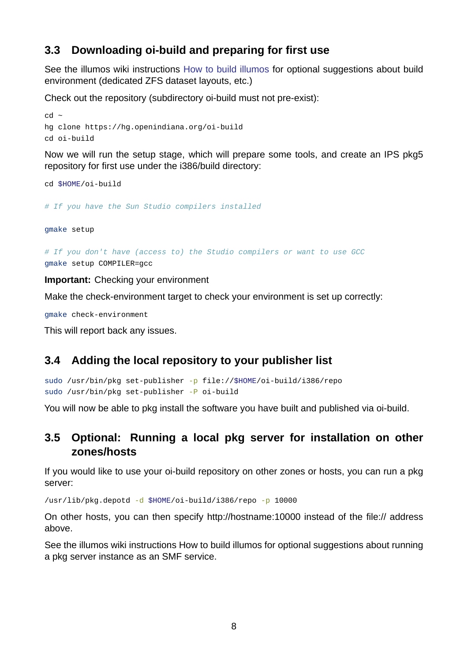### **3.3 Downloading oi-build and preparing for first use**

See the illumos wiki instructions How to build illumos for optional suggestions about build environment (dedicated ZFS dataset layouts, etc.)

<span id="page-7-0"></span>Check out the repository (subdirectory oi-build must not pre-exist):

```
cd ~
hg clone https://hg.openindiana.org/oi-build
cd oi-build
```
Now we will run the setup stage, which will prepare some tools, and create an IPS pkg5 repository for first use under the i386/build directory:

cd \$HOME/oi-build

*# If you have the Sun Studio compilers installed*

gmake setup

*# If you don't have (access to) the Studio compilers or want to use GCC* gmake setup COMPILER=gcc

**Important:** Checking your environment

Make the check-environment target to check your environment is set up correctly:

gmake check-environment

This will report back any issues.

### **3.4 Adding the local repository to your publisher list**

```
sudo /usr/bin/pkg set-publisher -p file://$HOME/oi-build/i386/repo
sudo /usr/bin/pkg set-publisher -P oi-build
```
You will now be able to pkg install the software you have built and published via oi-build.

### **3.5 Optional: Running a local pkg server for installation on other zones/hosts**

<span id="page-7-2"></span>If you would like to use your oi-build repository on other zones or hosts, you can run a pkg server:

 $\frac{\log 2}{\log 2}$  /usr/lib/pkg.depotd -d \$HOME/oi-build/i386/repo -p 10000

On other hosts, you can then specify http://hostname:10000 instead of the file:// address above.

See the illumos wiki instructions How to build illumos for optional suggestions about running a pkg server instance as an SMF service.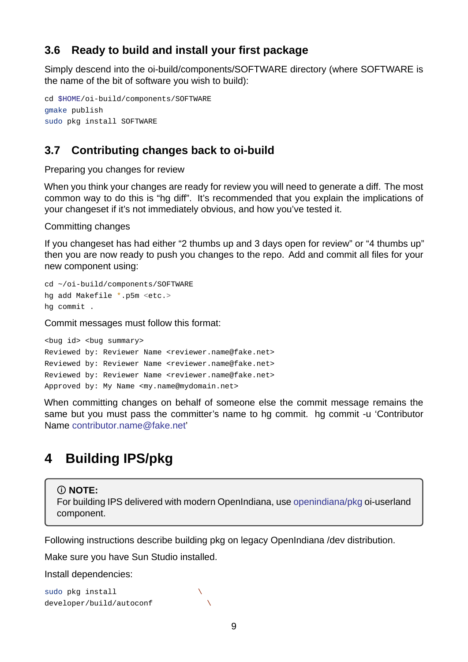### **3.6 Ready to build and install your first package**

Simply descend into the oi-build/components/SOFTWARE directory (where SOFTWARE is the name of the bit of software you wish to build):

```
cd $HOME/oi-build/components/SOFTWARE
gmake publish
sudo pkg install SOFTWARE
```
### **3.7 Contributing changes back to oi-build**

Preparing you changes for review

<span id="page-8-1"></span>When you think your changes are ready for review you will need to generate a diff. The most common way to do this is "hg diff". It's recommended that you explain the implications of your changeset if it's not immediately obvious, and how you've tested it.

Committing changes

If you changeset has had either "2 thumbs up and 3 days open for review" or "4 thumbs up" then you are now ready to push you changes to the repo. Add and commit all files for your new component using:

```
cd ~/oi-build/components/SOFTWARE
hg add Makefile *.p5m <etc.>
hg commit .
```
Commit messages must follow this format:

<bug id> <bug summary> Reviewed by: Reviewer Name <reviewer.name@fake.net> Reviewed by: Reviewer Name <reviewer.name@fake.net> Reviewed by: Reviewer Name <reviewer.name@fake.net> Approved by: My Name <my.name@mydomain.net>

When committing changes on behalf of someone else the commit message remains the same but you must pass the committer's name to hg commit. hg commit -u 'Contributor Name contributor.name@fake.net'

## <span id="page-8-3"></span>**4 [Building IPS/pkg](mailto:contributor.name@fake.net)**

<span id="page-8-2"></span>**NOTE:**

For building IPS delivered with modern OpenIndiana, use openindiana/pkg oi-userland component.

Following instructions describe building pkg on legacy Ope[nIndiana /dev distr](https://github.com/OpenIndiana/oi-userland/tree/oi/hipster/components/openindiana/pkg)ibution.

Make sure you have Sun Studio installed.

Install dependencies:

sudo pkg install \ developer/build/autoconf \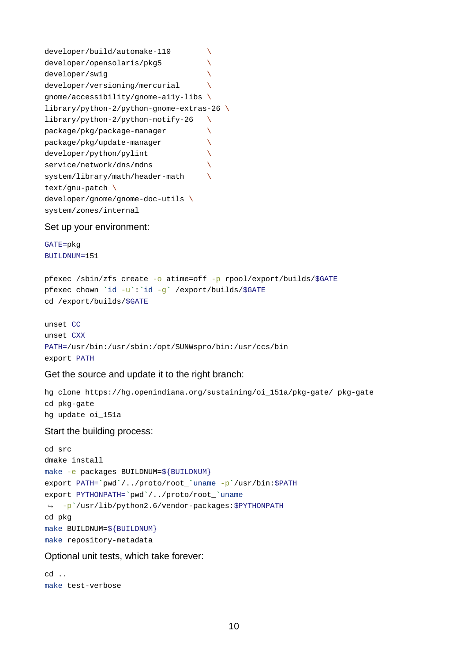| developer/build/automake-110                                   |  |
|----------------------------------------------------------------|--|
| developer/opensolaris/pkg5                                     |  |
| developer/swig                                                 |  |
| developer/versioning/mercurial                                 |  |
| gnome/accessibility/gnome-a11y-libs \                          |  |
| $\text{library}/\text{python-2}/\text{python-gnome-extras-26}$ |  |
| library/python-2/python-notify-26                              |  |
| package/pkg/package-manager                                    |  |
| package/pkg/update-manager                                     |  |
| developer/python/pylint                                        |  |
| service/network/dns/mdns                                       |  |
| system/library/math/header-math                                |  |
| text/gnu-patch \                                               |  |
| developer/gnome/gnome-doc-utils \                              |  |
| system/zones/internal                                          |  |

Set up your environment:

GATE=pkg BUILDNUM=151

```
pfexec /sbin/zfs create -o atime=off -p rpool/export/builds/$GATE
pfexec chown `id -u`:`id -g` /export/builds/$GATE
cd /export/builds/$GATE
```

```
unset CC
unset CXX
PATH=/usr/bin:/usr/sbin:/opt/SUNWspro/bin:/usr/ccs/bin
export PATH
```
Get the source and update it to the right branch:

hg clone https://hg.openindiana.org/sustaining/oi\_151a/pkg-gate/ pkg-gate cd pkg-gate hg update oi\_151a

Start the building process:

```
cd src
dmake install
make -e packages BUILDNUM=${BUILDNUM}
export PATH=`pwd`/../proto/root_`uname p`/usr/bin:$PATH
export PYTHONPATH=`pwd`/../proto/root_`uname
↪ p`/usr/lib/python2.6/vendorpackages:$PYTHONPATH
cd pkg
make BUILDNUM=${BUILDNUM}
make repository-metadata
```
Optional unit tests, which take forever:

```
cd ..
make test-verbose
```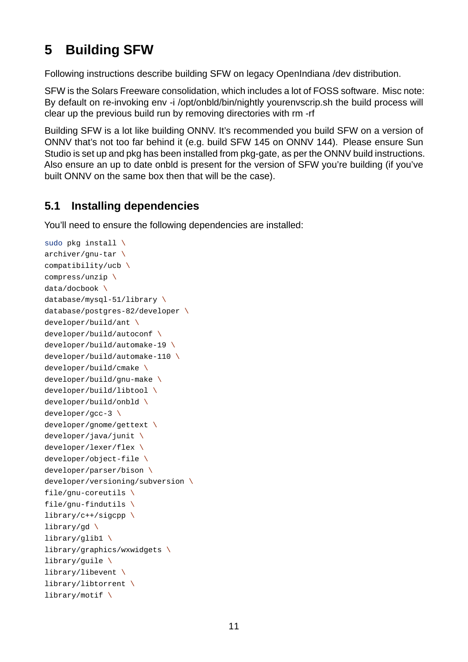## <span id="page-10-0"></span>**5 Building SFW**

Following instructions describe building SFW on legacy OpenIndiana /dev distribution.

SFW is the Solars Freeware consolidation, which includes a lot of FOSS software. Misc note: By default on re-invoking env -i /opt/onbld/bin/nightly yourenvscrip.sh the build process will clear up the previous build run by removing directories with rm -rf

Building SFW is a lot like building ONNV. It's recommended you build SFW on a version of ONNV that's not too far behind it (e.g. build SFW 145 on ONNV 144). Please ensure Sun Studio is set up and pkg has been installed from pkg-gate, as per the ONNV build instructions. Also ensure an up to date onbld is present for the version of SFW you're building (if you've built ONNV on the same box then that will be the case).

## <span id="page-10-1"></span>**5.1 Installing dependencies**

You'll need to ensure the following dependencies are installed:

```
sudo pkg install \
archiver/gnu-tar \lambdacompatibility/ucb \
compress/unzip \
data/docbook \
database/mysgl-51/library \n\database/postgress-82/development \developer/build/ant \
developer/build/autoconf \
developer/build/automake-19 \
developer/build/automake-110 \
developer/build/cmake \
developer/build/gnu-make \
developer/build/libtool \
developer/build/onbld \
developer/gcc-3 \
developer/gnome/gettext \
developer/java/junit \
developer/lexer/flex \
developer/object-file \ \ \ \ \ \developer/parser/bison \
developer/versioning/subversion \
file/gnu-coreutils \ \ \ \ \file/gnu-findutils \setminuslibrary/c++/sigcpp \
library/gd \
library/glib1 \
library/graphics/wxwidgets \
library/guile \
library/libevent \
library/libtorrent \
library/motif \
```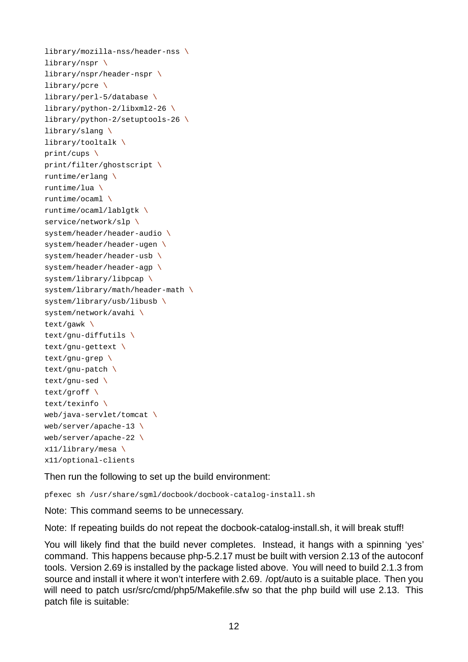library/mozilla-nss/header-nss  $\setminus$ library/nspr \ library/nspr/header-nspr  $\lambda$ library/pcre \ library/perl-5/database  $\lambda$  $library/python-2/libxml2-26 \ \ \backslash$ library/python-2/setuptools-26  $\backslash$ library/slang \ library/tooltalk \ print/cups \ print/filter/ghostscript \ runtime/erlang \ runtime/lua \ runtime/ocaml \ runtime/ocaml/lablgtk \ service/network/slp \ system/header/header-audio  $\setminus$ system/header/header-ugen  $\lambda$ system/header/header-usb  $\lambda$ system/header/header-agp  $\lambda$ system/library/libpcap \ system/library/math/header-math  $\setminus$ system/library/usb/libusb \ system/network/avahi \ text/gawk \  $text/$ gnu-diffutils \ text/gnu-gettext  $\setminus$ text/gnu-grep  $\lambda$ text/gnu-patch  $\setminus$ text/gnu-sed  $\lambda$ text/groff \ text/texinfo \  $web/java-servervlet/tomcat \ \ \ \ \$ web/server/apache-13  $\backslash$  $web/server/apache-22 \ \ \ \ \$ x11/library/mesa \ x11/optional-clients

Then run the following to set up the build environment:

pfexec sh /usr/share/sgml/docbook/docbook-catalog-install.sh

Note: This command seems to be unnecessary.

Note: If repeating builds do not repeat the docbook-catalog-install.sh, it will break stuff!

You will likely find that the build never completes. Instead, it hangs with a spinning 'yes' command. This happens because php-5.2.17 must be built with version 2.13 of the autoconf tools. Version 2.69 is installed by the package listed above. You will need to build 2.1.3 from source and install it where it won't interfere with 2.69. /opt/auto is a suitable place. Then you will need to patch usr/src/cmd/php5/Makefile.sfw so that the php build will use 2.13. This patch file is suitable: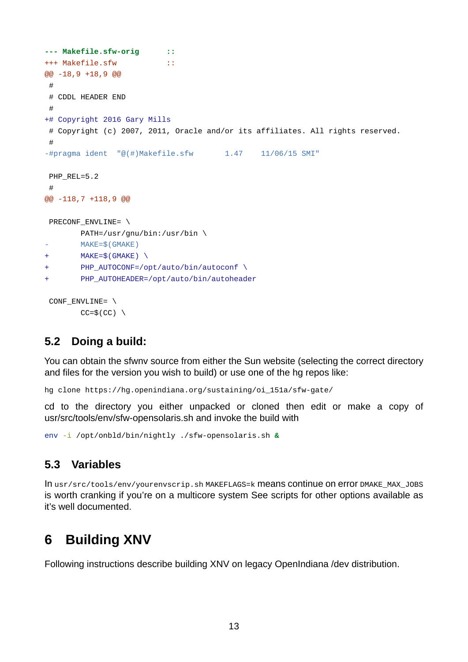```
--- Makefile.sfw-orig ::
+++ Makefile.sfw ::
@@ 18,9 +18,9 @@
 #
# CDDL HEADER END
 #
+# Copyright 2016 Gary Mills
 # Copyright (c) 2007, 2011, Oracle and/or its affiliates. All rights reserved.
 #
-#pragma ident \sqrt[m]{\theta(\#)}Makefile.sfw 1.47 11/06/15 SMI"
 PHP_REL=5.2
 #@@ 118,7 +118,9 @@
 PRECONF_ENVLINE= \
       PATH=/usr/gnu/bin:/usr/bin \
        MAKE=$(GMAKE)
+ MAKE=$(GMAKE) \
+ PHP_AUTOCONF=/opt/auto/bin/autoconf \
+ PHP_AUTOHEADER=/opt/auto/bin/autoheader
 CONF_ENVLINE= \
```
 $CC=$(CC) \ \ \ \ \ \$ 

### <span id="page-12-0"></span>**5.2 Doing a build:**

You can obtain the sfwnv source from either the Sun website (selecting the correct directory and files for the version you wish to build) or use one of the hg repos like:

hg clone https://hg.openindiana.org/sustaining/oi\_151a/sfw-gate/

cd to the directory you either unpacked or cloned then edit or make a copy of usr/src/tools/env/sfw-opensolaris.sh and invoke the build with

env -i /opt/onbld/bin/nightly ./sfw-opensolaris.sh &

### <span id="page-12-1"></span>**5.3 Variables**

In usr/src/tools/env/yourenvscrip.sh MAKEFLAGS=k means continue on error DMAKE\_MAX\_JOBS is worth cranking if you're on a multicore system See scripts for other options available as it's well documented.

## <span id="page-12-2"></span>**6 Building XNV**

Following instructions describe building XNV on legacy OpenIndiana /dev distribution.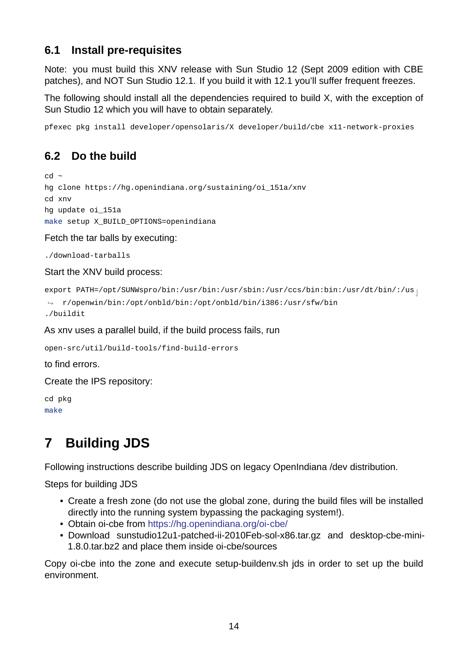### **6.1 Install pre-requisites**

Note: you must build this XNV release with Sun Studio 12 (Sept 2009 edition with CBE patches), and NOT Sun Studio 12.1. If you build it with 12.1 you'll suffer frequent freezes.

<span id="page-13-0"></span>The following should install all the dependencies required to build X, with the exception of Sun Studio 12 which you will have to obtain separately.

pfexec pkg install developer/opensolaris/X developer/build/cbe x11-network-proxies

## **6.2 Do the build**

```
cd ~
hg clone https://hg.openindiana.org/sustaining/oi_151a/xnv
cd xnv
hg update oi_151a
make setup X_BUILD_OPTIONS=openindiana
```
Fetch the tar balls by executing:

./download-tarballs

Start the XNV build process:

```
export PATH=/opt/SUNWspro/bin:/usr/bin:/usr/sbin:/usr/ccs/bin:bin:/usr/dt/bin/:/us 
interational
```

```
↪ r/openwin/bin:/opt/onbld/bin:/opt/onbld/bin/i386:/usr/sfw/bin
```
./buildit

As xnv uses a parallel build, if the build process fails, run

```
open-src/util/build-tools/find-build-errors
```
to find errors.

Create the IPS repository:

```
cd pkg
make
```
## **7 Building JDS**

Following instructions describe building JDS on legacy OpenIndiana /dev distribution.

Steps for building JDS

- Create a fresh zone (do not use the global zone, during the build files will be installed directly into the running system bypassing the packaging system!).
- Obtain oi-cbe from https://hg.openindiana.org/oi-cbe/
- Download sunstudio12u1-patched-ii-2010Feb-sol-x86.tar.gz and desktop-cbe-mini-1.8.0.tar.bz2 and place them inside oi-cbe/sources

Copy oi-cbe into the zone and execute setup-buildenv.sh jds in order to set up the build environment.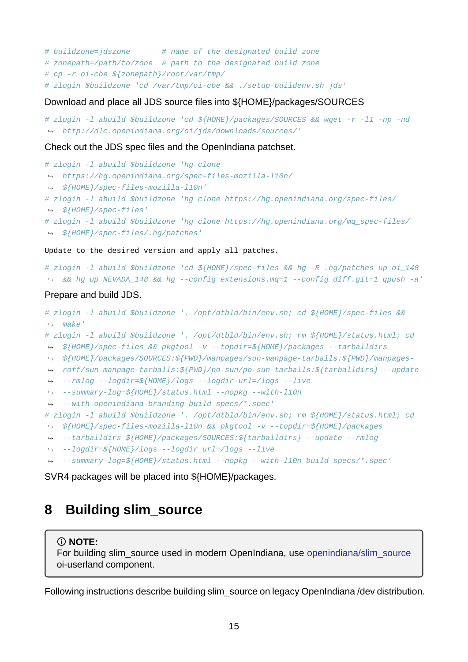*# buildzone=jdszone # name of the designated build zone # zonepath=/path/to/zone # path to the designated build zone # cp r oicbe \${zonepath}/root/var/tmp/ # zlogin \$buildzone 'cd /var/tmp/oicbe && ./setupbuildenv.sh jds'*

#### Download and place all JDS source files into \${HOME}/packages/SOURCES

```
# zlogin l abuild $buildzone 'cd ${HOME}/packages/SOURCES && wget r l1 np nd
↪ http://dlc.openindiana.org/oi/jds/downloads/sources/'
```
#### Check out the JDS spec files and the OpenIndiana patchset.

```
# zlogin l abuild $buildzone 'hg clone
 → https://hg.openindiana.org/spec-files-mozilla-l10n/
 → ${HOME}/spec-files-mozilla-l10n'
# zlogin l abuild $buildzone 'hg clone https://hg.openindiana.org/specfiles/
↪ ${HOME}/specfiles'
# zlogin l abuild $buildzone 'hg clone https://hg.openindiana.org/mq_specfiles/
↪ ${HOME}/specfiles/.hg/patches'
```
Update to the desired version and apply all patches.

```
# zlogin -1 abuild $buildzone 'cd ${HOME}/spec-files && hg -R .hg/patches up oi_148
↪ && hg up NEVADA_148 && hg config extensions.mq=1 config diff.git=1 qpush a'
```
#### Prepare and build JDS.

```
# zlogin l abuild $buildzone '. /opt/dtbld/bin/env.sh; cd ${HOME}/specfiles &&
↪ make'
# zlogin l abuild $buildzone '. /opt/dtbld/bin/env.sh; rm ${HOME}/status.html; cd
→ ${HOME}/spec-files && pkgtool -v --topdir=${HOME}/packages --tarballdirs
${HOME}/packages/SOURCES:${PWD}/manpages/sunmanpagetarballs:${PWD}/manpages-
↪
→ roff/sun-manpage-tarballs:${PWD}/po-sun/po-sun-tarballs:${tarballdirs} --update
rmlog logdir=${HOME}/logs logdirurl=/logs live
↪
summarylog=${HOME}/status.html nopkg withl10n
↪
withopenindianabranding build specs/*.spec'
↪
# zlogin l abuild $buildzone '. /opt/dtbld/bin/env.sh; rm ${HOME}/status.html; cd
→ ${HOME}/spec-files-mozilla-l10n && pkgtool -v --topdir=${HOME}/packages
↔ --tarballdirs ${HOME}/packages/SOURCES:${tarballdirs} --update --rmlog
```

```
logdir=${HOME}/logs logdir_url=/logs live
↪
```

```
→ --summary-log=${HOME}/status.html --nopkg --with-110n build specs/*.spec'
```
SVR4 packages will be placed into \${HOME}/packages.

## **8 Building slim\_source**

### **NOTE:**

For building slim\_source used in modern OpenIndiana, use openindiana/slim\_source oi-userland component.

Following instructions describe building slim\_source on legacy [OpenIndiana /dev distributi](https://github.com/OpenIndiana/oi-userland/tree/oi/hipster/components/openindiana/slim_source%22)on.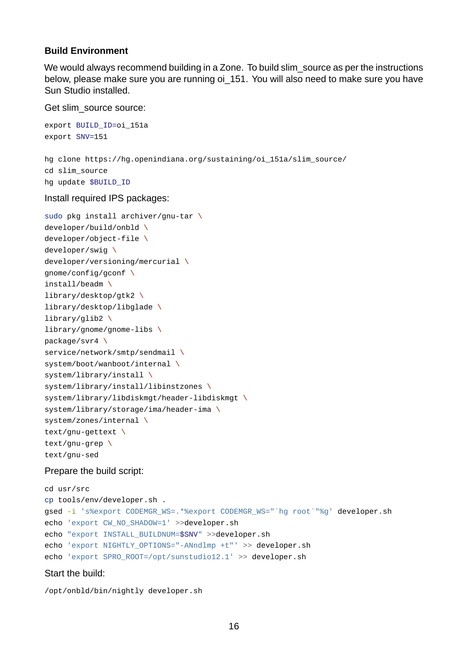#### **Build Environment**

We would always recommend building in a Zone. To build slim source as per the instructions below, please make sure you are running oi\_151. You will also need to make sure you have Sun Studio installed.

Get slim\_source source:

```
export BUILD_ID=oi_151a
export SNV=151
hg clone https://hg.openindiana.org/sustaining/oi_151a/slim_source/
cd slim_source
hg update $BUILD_ID
Install required IPS packages:
sudo pkg install archiver/gnu-tar \
developer/build/onbld \
developer/object-file \ \ \ \ \ \developer/swig \
developer/versioning/mercurial \
gnome/config/gconf \
install/beadm \
library/desktop/gtk2 \
library/desktop/libglade \
library/glib2 \
library/gnome/gnome-libs \setminuspackage/svr4 \
service/network/smtp/sendmail \
system/boot/wanboot/internal \
system/library/install \
system/library/install/libinstzones \
system/library/libdiskmgt/header-libdiskmgt \
system/library/storage/ima/header-ima \
system/zones/internal \
text/gnu-gettext \lambdatext/gnu-grep \lambda
```
text/gnu-sed

#### Prepare the build script:

```
cd usr/src
cp tools/env/developer.sh .
gsed -i 's%export CODEMGR_WS=.*%export CODEMGR_WS="`hg root`"%g' developer.sh
echo 'export CW_NO_SHADOW=1' >>developer.sh
echo "export INSTALL_BUILDNUM=$SNV" >>developer.sh
echo 'export NIGHTLY_OPTIONS="ANndlmp +t"' >> developer.sh
echo 'export SPRO_ROOT=/opt/sunstudio12.1' >> developer.sh
```
#### Start the build:

/opt/onbld/bin/nightly developer.sh